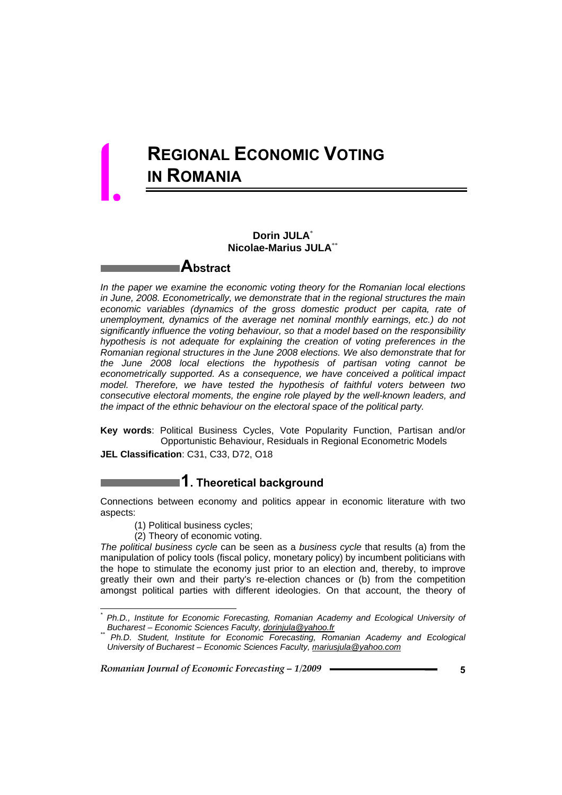# **REGIONAL ECONOMIC VOTING IN ROMANIA**

## **Dorin JULA**\*  **Nicolae-Marius JULA**\*\*

## **Abstract**

*In the paper we examine the economic voting theory for the Romanian local elections in June, 2008. Econometrically, we demonstrate that in the regional structures the main economic variables (dynamics of the gross domestic product per capita, rate of unemployment, dynamics of the average net nominal monthly earnings, etc.) do not significantly influence the voting behaviour, so that a model based on the responsibility hypothesis is not adequate for explaining the creation of voting preferences in the Romanian regional structures in the June 2008 elections. We also demonstrate that for the June 2008 local elections the hypothesis of partisan voting cannot be econometrically supported. As a consequence, we have conceived a political impact model. Therefore, we have tested the hypothesis of faithful voters between two consecutive electoral moments, the engine role played by the well-known leaders, and the impact of the ethnic behaviour on the electoral space of the political party.* 

**Key words**: Political Business Cycles, Vote Popularity Function, Partisan and/or Opportunistic Behaviour, Residuals in Regional Econometric Models

**JEL Classification**: C31, C33, D72, O18

## **1. Theoretical background**

Connections between economy and politics appear in economic literature with two aspects:

(1) Political business cycles;

l

1.

(2) Theory of economic voting.

*The political business cycle* can be seen as a *business cycle* that results (a) from the manipulation of policy tools (fiscal policy, monetary policy) by incumbent politicians with the hope to stimulate the economy just prior to an election and, thereby, to improve greatly their own and their party's re-election chances or (b) from the competition amongst political parties with different ideologies. On that account, the theory of

*<sup>\*</sup>* <sup>\*</sup> Ph.D., Institute for Economic Forecasting, Romanian Academy and Ecological University of<br>\_Bucharest – Economic Sciences Faculty, <u>dorinjula@yahoo.fr</u>

*Bucharest – Economic Sciences Faculty, dorinjula@yahoo.fr \*\* Ph.D. Student, Institute for Economic Forecasting, Romanian Academy and Ecological University of Bucharest – Economic Sciences Faculty, mariusjula@yahoo.com*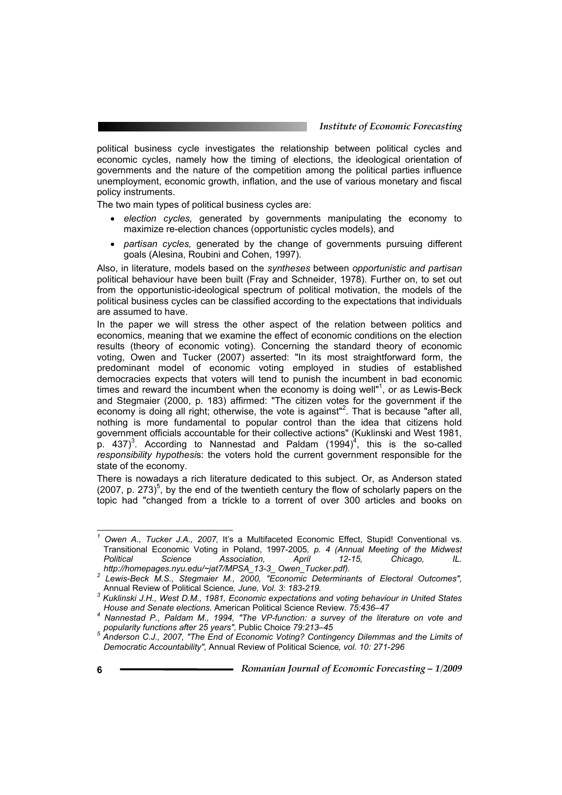political business cycle investigates the relationship between political cycles and economic cycles, namely how the timing of elections, the ideological orientation of governments and the nature of the competition among the political parties influence unemployment, economic growth, inflation, and the use of various monetary and fiscal policy instruments.

The two main types of political business cycles are:

- *election cycles,* generated by governments manipulating the economy to maximize re-election chances (opportunistic cycles models), and
- *partisan cycles,* generated by the change of governments pursuing different goals (Alesina, Roubini and Cohen, 1997).

Also, in literature, models based on the *syntheses* between *opportunistic and partisan*  political behaviour have been built (Fray and Schneider, 1978). Further on, to set out from the opportunistic-ideological spectrum of political motivation, the models of the political business cycles can be classified according to the expectations that individuals are assumed to have.

In the paper we will stress the other aspect of the relation between politics and economics, meaning that we examine the effect of economic conditions on the election results (theory of economic voting). Concerning the standard theory of economic voting, Owen and Tucker (2007) asserted: "In its most straightforward form, the predominant model of economic voting employed in studies of established democracies expects that voters will tend to punish the incumbent in bad economic times and reward the incumbent when the economy is doing well"<sup>1</sup>, or as Lewis-Beck and Stegmaier (2000, p. 183) affirmed: "The citizen votes for the government if the economy is doing all right; otherwise, the vote is against"<sup>2</sup>. That is because "after all, nothing is more fundamental to popular control than the idea that citizens hold government officials accountable for their collective actions" (Kuklinski and West 1981,  $\overline{p}$ . 437)<sup>3</sup>. According to Nannestad and Paldam (1994)<sup>4</sup>, this is the so-called *responsibility hypothesi*s: the voters hold the current government responsible for the state of the economy.

There is nowadays a rich literature dedicated to this subject. Or, as Anderson stated  $(2007, p. 273)^5$ , by the end of the twentieth century the flow of scholarly papers on the topic had "changed from a trickle to a torrent of over 300 articles and books on

<sup>&</sup>lt;sup>1</sup> Owen A., Tucker J.A., 2007, It's a Multifaceted Economic Effect, Stupid! Conventional vs. Transitional Economic Voting in Poland, 1997-2005*, p. 4 (Annual Meeting of the Midwest Political Science Association, April 12-15, Chicago, IL.* 

*http://homepages.nyu.edu/~jat7/MPSA\_13-3\_ Owen\_Tucker.pdf). 2 Lewis-Beck M.S., Stegmaier M., 2000, "Economic Determinants of Electoral Outcomes",* 

Annual Review of Political Science*, June, Vol. 3: 183-219. 3 Kuklinski J.H., West D.M., 1981, Economic expectations and voting behaviour in United States House and Senate elections.* American Political Science Review*. 75:436–47 4*

*Nannestad P., Paldam M., 1994, "The VP-function: a survey of the literature on vote and* 

*popularity functions after 25 years",* Public Choice *79:213–45 5 Anderson C.J., 2007, "The End of Economic Voting? Contingency Dilemmas and the Limits of Democratic Accountability",* Annual Review of Political Science*, vol. 10: 271-296*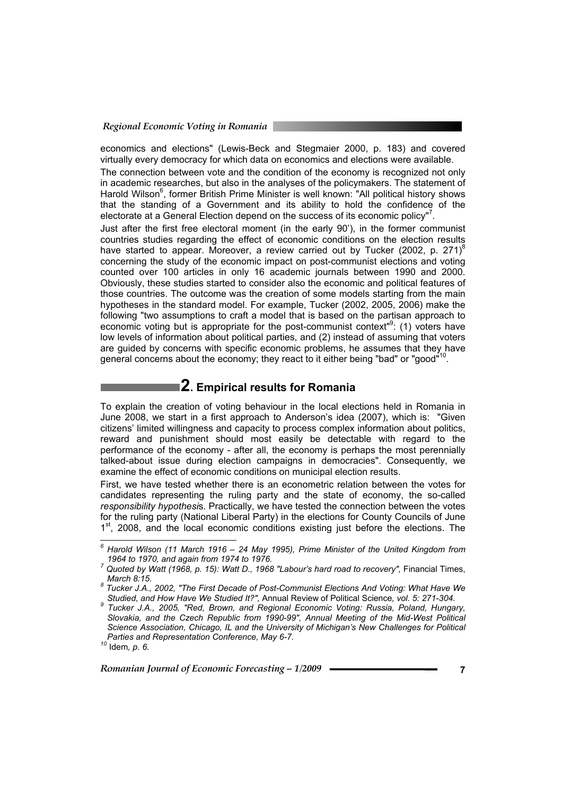economics and elections" (Lewis-Beck and Stegmaier 2000, p. 183) and covered virtually every democracy for which data on economics and elections were available.

The connection between vote and the condition of the economy is recognized not only in academic researches, but also in the analyses of the policymakers. The statement of Harold Wilson<sup>6</sup>, former British Prime Minister is well known: "All political history shows that the standing of a Government and its ability to hold the confidence of the electorate at a General Election depend on the success of its economic policy"<sup>7</sup>.

Just after the first free electoral moment (in the early 90'), in the former communist countries studies regarding the effect of economic conditions on the election results have started to appear. Moreover, a review carried out by Tucker (2002, p. 271)<sup>8</sup> concerning the study of the economic impact on post-communist elections and voting counted over 100 articles in only 16 academic journals between 1990 and 2000. Obviously, these studies started to consider also the economic and political features of those countries. The outcome was the creation of some models starting from the main hypotheses in the standard model. For example, Tucker (2002, 2005, 2006) make the following "two assumptions to craft a model that is based on the partisan approach to economic voting but is appropriate for the post-communist context<sup>®</sup>: (1) voters have low levels of information about political parties, and (2) instead of assuming that voters are guided by concerns with specific economic problems, he assumes that they have general concerns about the economy; they react to it either being "bad" or "good"<sup>10</sup>

## **2. Empirical results for Romania**

To explain the creation of voting behaviour in the local elections held in Romania in June 2008, we start in a first approach to Anderson's idea (2007), which is: "Given citizens' limited willingness and capacity to process complex information about politics, reward and punishment should most easily be detectable with regard to the performance of the economy - after all, the economy is perhaps the most perennially talked-about issue during election campaigns in democracies". Consequently, we examine the effect of economic conditions on municipal election results.

First, we have tested whether there is an econometric relation between the votes for candidates representing the ruling party and the state of economy, the so-called *responsibility hypothesi*s. Practically, we have tested the connection between the votes for the ruling party (National Liberal Party) in the elections for County Councils of June  $1<sup>st</sup>$ , 2008, and the local economic conditions existing just before the elections. The

 *6 Harold Wilson (11 March 1916 – 24 May 1995), Prime Minister of the United Kingdom from* 

*<sup>1964</sup> to 1970, and again from 1974 to 1976. 7 Quoted by Watt (1968, p. 15): Watt D., 1968 "Labour's hard road to recovery",* Financial Times, *March 8:15. 8*

*Tucker J.A., 2002, "The First Decade of Post-Communist Elections And Voting: What Have We* 

*Studied, and How Have We Studied It?",* Annual Review of Political Science*, vol. 5: 271-304. 9 Tucker J.A., 2005, "Red, Brown, and Regional Economic Voting: Russia, Poland, Hungary, Slovakia, and the Czech Republic from 1990-99", Annual Meeting of the Mid-West Political Science Association, Chicago, IL and the University of Michigan's New Challenges for Political Parties and Representation Conference, May 6-7. 10* Idem*, p. 6.*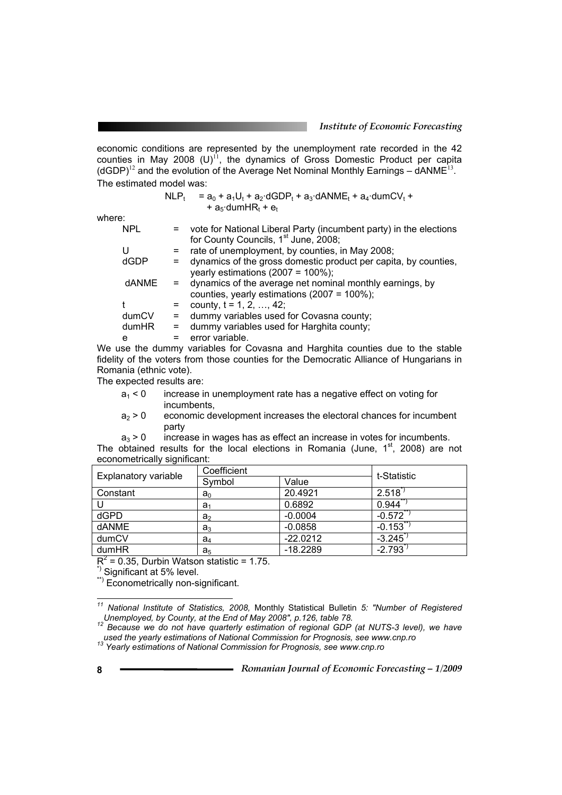economic conditions are represented by the unemployment rate recorded in the 42 counties in May 2008 (U)<sup>11</sup>, the dynamics of Gross Domestic Product per capita  $(dGDP)^{12}$  and the evolution of the Average Net Nominal Monthly Earnings –  $dANME^{13}$ . The estimated model was:

> $NLP_t = a_0 + a_1U_t + a_2 \cdot dGDP_t + a_3 \cdot dANME_t + a_4 \cdot dumCV_t +$ +  $a_5$ ·dumHR<sub>t</sub> +  $e_6$

where:

| <b>NPL</b> |     | vote for National Liberal Party (incumbent party) in the elections                                          |
|------------|-----|-------------------------------------------------------------------------------------------------------------|
|            |     | for County Councils, 1 <sup>st</sup> June, 2008;                                                            |
| U          |     | rate of unemployment, by counties, in May 2008;                                                             |
| dGDP       |     | dynamics of the gross domestic product per capita, by counties,<br>yearly estimations (2007 = $100\%$ );    |
| dANME      |     | dynamics of the average net nominal monthly earnings, by<br>counties, yearly estimations $(2007 = 100\%)$ ; |
|            |     | county, $t = 1, 2, , 42$ ;                                                                                  |
| dumCV      | $=$ | dummy variables used for Covasna county;                                                                    |
| dumHR      | Ξ.  | dummy variables used for Harghita county;                                                                   |
| e          |     | error variable.                                                                                             |
|            |     |                                                                                                             |

We use the dummy variables for Covasna and Harghita counties due to the stable fidelity of the voters from those counties for the Democratic Alliance of Hungarians in Romania (ethnic vote).

The expected results are:

- $a_1 < 0$  increase in unemployment rate has a negative effect on voting for incumbents,
- $a<sub>2</sub>$  > 0 economic development increases the electoral chances for incumbent party

 $a_3$  > 0 increase in wages has as effect an increase in votes for incumbents. The obtained results for the local elections in Romania (June,  $1<sup>st</sup>$ , 2008) are not econometrically significant:

| Explanatory variable | Coefficient    |            | t-Statistic |
|----------------------|----------------|------------|-------------|
|                      | Symbol         | Value      |             |
| Constant             | a <sub>0</sub> | 20.4921    | 2.518       |
|                      | a <sub>1</sub> | 0.6892     | 0.944       |
| dGPD                 | a <sub>2</sub> | $-0.0004$  | $-0.572$    |
| <b>dANME</b>         | a <sub>3</sub> | $-0.0858$  | $-0.153$    |
| dumCV                | a,             | $-22.0212$ | $-3.245$    |
| dumHR                | a <sub>5</sub> | $-18.2289$ | $-2.793$    |

 $R^2$  = 0.35, Durbin Watson statistic = 1.75.

\*) Significant at 5% level.

\*\*) Econometrically non-significant.

l

*<sup>11</sup> National Institute of Statistics, 2008,* Monthly Statistical Bulletin *5: "Number of Registered* 

*Unemployed, by County, at the End of May 2008", p.126, table 78. <sup>12</sup> Because we do not have quarterly estimation of regional GDP (at NUTS-3 level), we have used the yearly estimations of National Commission for Prognos* 

*used the yearly estimations of National Commission for Prognosis, see www.cnp.ro 13 Yearly estimations of National Commission for Prognosis, see www.cnp.ro*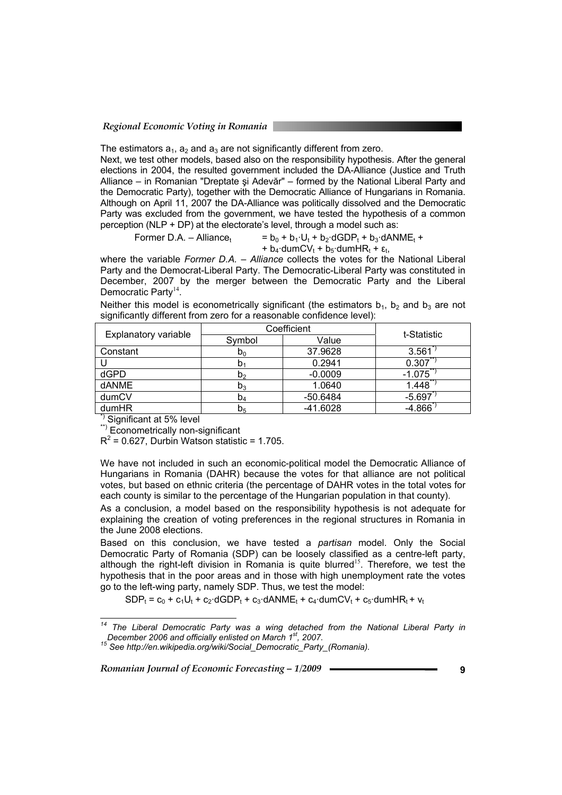#### *Regional Economic Voting in Romania*

The estimators  $a_1$ ,  $a_2$  and  $a_3$  are not significantly different from zero.

Next, we test other models, based also on the responsibility hypothesis. After the general elections in 2004, the resulted government included the DA-Alliance (Justice and Truth Alliance – in Romanian "Dreptate şi Adevăr" – formed by the National Liberal Party and the Democratic Party), together with the Democratic Alliance of Hungarians in Romania. Although on April 11, 2007 the DA-Alliance was politically dissolved and the Democratic Party was excluded from the government, we have tested the hypothesis of a common perception (NLP + DP) at the electorate's level, through a model such as:

$$
Former D.A. - Alliancet = b0 + b1 · Ut + b2 · dGDPt + b3 · dANMEt +
$$

+  $b_4$ ·dumCV<sub>t</sub> +  $b_5$ ·dumHR<sub>t</sub> +  $\varepsilon_t$ ,

where the variable *Former D.A. – Alliance* collects the votes for the National Liberal Party and the Democrat-Liberal Party. The Democratic-Liberal Party was constituted in December, 2007 by the merger between the Democratic Party and the Liberal Democratic Party<sup>14</sup>.

Neither this model is econometrically significant (the estimators  $b_1$ ,  $b_2$  and  $b_3$  are not significantly different from zero for a reasonable confidence level):

| Explanatory variable      | Coefficient    |            | t-Statistic |  |
|---------------------------|----------------|------------|-------------|--|
|                           | Symbol         | Value      |             |  |
| Constant                  | $D_0$          | 37.9628    | 3.561       |  |
|                           | $\mathsf{D}_1$ | 0.2941     | 0.307       |  |
| dGPD                      | D <sub>2</sub> | $-0.0009$  | $-1.075$    |  |
| dANME                     | $D_3$          | 1.0640     | 1.448       |  |
| dumCV                     | $D_4$          | $-50.6484$ | $-5.697$    |  |
| dumHR                     | D <sub>5</sub> | $-41.6028$ | $-4.866$    |  |
| $x_1$ $\ldots$ $x_n$<br>. |                |            |             |  |

\*) Significant at 5% level

\*\*) Econometrically non-significant

 $R^2$  = 0.627, Durbin Watson statistic = 1.705.

We have not included in such an economic-political model the Democratic Alliance of Hungarians in Romania (DAHR) because the votes for that alliance are not political votes, but based on ethnic criteria (the percentage of DAHR votes in the total votes for each county is similar to the percentage of the Hungarian population in that county).

As a conclusion, a model based on the responsibility hypothesis is not adequate for explaining the creation of voting preferences in the regional structures in Romania in the June 2008 elections.

Based on this conclusion, we have tested a *partisan* model. Only the Social Democratic Party of Romania (SDP) can be loosely classified as a centre-left party, although the right-left division in Romania is quite blurred<sup>15</sup>. Therefore, we test the hypothesis that in the poor areas and in those with high unemployment rate the votes go to the left-wing party, namely SDP. Thus, we test the model:

 $SDP_t = c_0 + c_1U_t + c_2$ ·dGDP<sub>t</sub> + c<sub>3</sub>·dANME<sub>t</sub> + c<sub>4</sub>·dumCV<sub>t</sub> + c<sub>5</sub>·dumHR<sub>t</sub> + v<sub>t</sub>

 $\it 14$ <sup>4</sup> The Liberal Democratic Party was a wing detached from the National Liberal Party in December 2006 and officially enlisted on March 1<sup>st</sup>, 2007.

*December 2006 and officially enlisted on March 1st, 2007. 15 See http://en.wikipedia.org/wiki/Social\_Democratic\_Party\_(Romania).*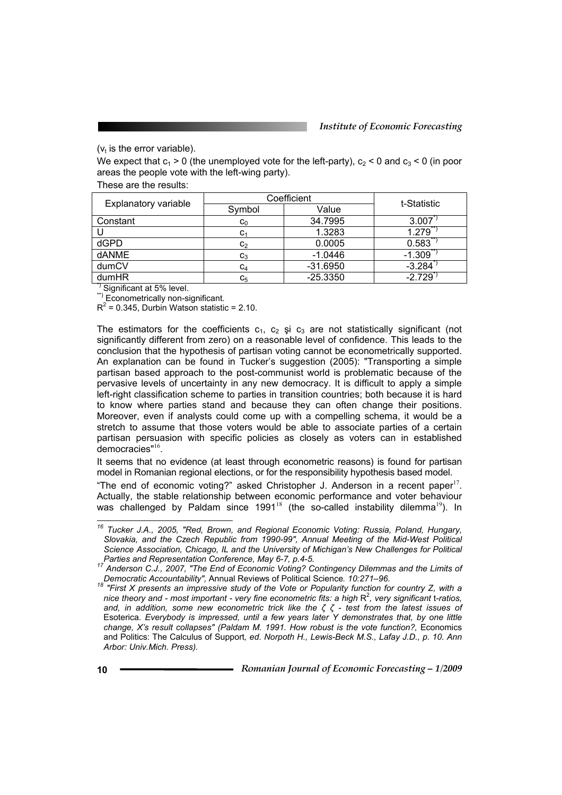## $(v<sub>t</sub>$  is the error variable).

We expect that  $c_1 > 0$  (the unemployed vote for the left-party),  $c_2 < 0$  and  $c_3 < 0$  (in poor areas the people vote with the left-wing party).

These are the results:

| Explanatory variable | Coefficient             |            | t-Statistic |
|----------------------|-------------------------|------------|-------------|
|                      | Symbol                  | Value      |             |
| Constant             | $\mathrm{c}_\mathrm{0}$ | 34.7995    | 3.007       |
|                      | $c_{1}$                 | 1.3283     | 1.279       |
| dGPD                 | C <sub>2</sub>          | 0.0005     | 0.583       |
| dANME                | $\mathtt{C}_3$          | $-1.0446$  | $-1.309$    |
| dumCV                | C4                      | $-31.6950$ | $-3.284$    |
| dumHR                | $\mathtt{C}_5$          | $-25.3350$ | $-2.729$    |

\*) Significant at 5% level.

\*\*) Econometrically non-significant.

 $R^2$  = 0.345, Durbin Watson statistic = 2.10.

The estimators for the coefficients  $c_1$ ,  $c_2$  și  $c_3$  are not statistically significant (not significantly different from zero) on a reasonable level of confidence. This leads to the conclusion that the hypothesis of partisan voting cannot be econometrically supported. An explanation can be found in Tucker's suggestion (2005): "Transporting a simple partisan based approach to the post-communist world is problematic because of the pervasive levels of uncertainty in any new democracy. It is difficult to apply a simple left-right classification scheme to parties in transition countries; both because it is hard to know where parties stand and because they can often change their positions. Moreover, even if analysts could come up with a compelling schema, it would be a stretch to assume that those voters would be able to associate parties of a certain partisan persuasion with specific policies as closely as voters can in established democracies"<sup>16</sup>.

It seems that no evidence (at least through econometric reasons) is found for partisan model in Romanian regional elections, or for the responsibility hypothesis based model.

"The end of economic voting?" asked Christopher J. Anderson in a recent paper<sup>17</sup>. Actually, the stable relationship between economic performance and voter behaviour was challenged by Paldam since 1991<sup>18</sup> (the so-called instability dilemma<sup>19</sup>). In

l *16 Tucker J.A., 2005, "Red, Brown, and Regional Economic Voting: Russia, Poland, Hungary, Slovakia, and the Czech Republic from 1990-99", Annual Meeting of the Mid-West Political Science Association, Chicago, IL and the University of Michigan's New Challenges for Political* 

*Parties and Representation Conference, May 6-7, p.4-5.*<br><sup>17</sup> Anderson C.J., 2007, "The End of Economic Voting? Contingency Dilemmas and the Limits of *Democratic Accountability*", Annual Reviews of Political Science. 10:2

*Democratic Accountability", Annual Reviews of the Vote or Popularity function for country Z, with a* <sup>18</sup> "First X presents an impressive study of the Vote or Popularity function for country Z, with a *nice theory and - most important - very fine econometric fits: a high R<sup>2</sup>, very significant t-ratios, and, in addition, some new econometric trick like the ζ ζ - test from the latest issues of*  Esoterica*. Everybody is impressed, until a few years later Y demonstrates that, by one little change, X's result collapses" (Paldam M. 1991. How robust is the vote function?, Economics* and Politics: The Calculus of Support*, ed. Norpoth H., Lewis-Beck M.S., Lafay J.D., p. 10. Ann Arbor: Univ.Mich. Press).*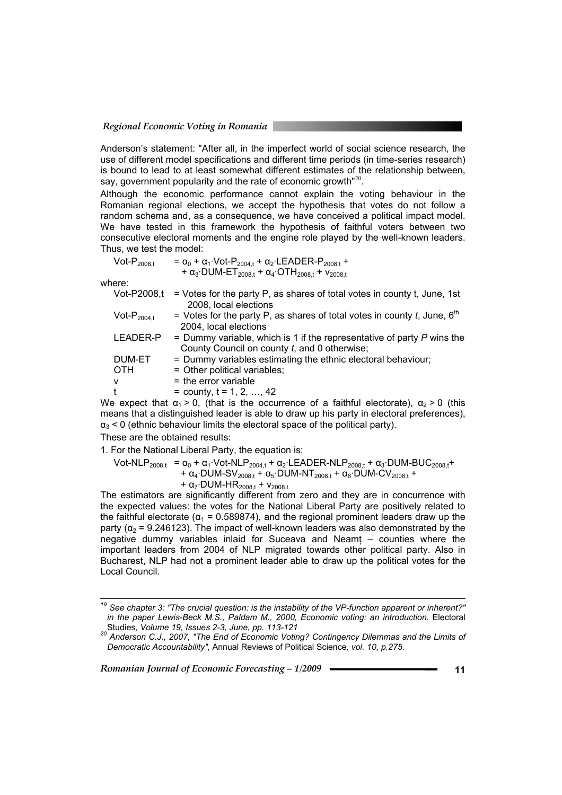Anderson's statement: "After all, in the imperfect world of social science research, the use of different model specifications and different time periods (in time-series research) is bound to lead to at least somewhat different estimates of the relationship between, say, government popularity and the rate of economic growth<sup>"20</sup>.

Although the economic performance cannot explain the voting behaviour in the Romanian regional elections, we accept the hypothesis that votes do not follow a random schema and, as a consequence, we have conceived a political impact model. We have tested in this framework the hypothesis of faithful voters between two consecutive electoral moments and the engine role played by the well-known leaders. Thus, we test the model:

| $\mathsf{Vot\text{-}P}_{\mathsf{2008.t.}}$ | $= \alpha_0 + \alpha_1$ ·Vot-P <sub>2004.t</sub> + $\alpha_2$ ·LEADER-P <sub>2008.t</sub> +<br>+ $\alpha_3$ DUM-ET <sub>2008.t</sub> + $\alpha_4$ OTH <sub>2008.t</sub> + $v_{2008.1}$ |
|--------------------------------------------|----------------------------------------------------------------------------------------------------------------------------------------------------------------------------------------|
| where:                                     |                                                                                                                                                                                        |
|                                            | Vot-P2008,t $=$ Votes for the party P, as shares of total votes in county t, June, 1st<br>$0.0001 - 1.11 - 1.1$                                                                        |

|                  | 2008, local elections                                                                        |
|------------------|----------------------------------------------------------------------------------------------|
| $Vot-P_{2004,t}$ | = Votes for the party P, as shares of total votes in county t, June, $6th$                   |
|                  | 2004, local elections                                                                        |
| LEADER-P         | = Dummy variable, which is 1 if the representative of party $P$ wins the                     |
|                  | County Council on county t, and 0 otherwise;                                                 |
| <b>DUM-ET</b>    | = Dummy variables estimating the ethnic electoral behaviour;                                 |
| <b>OTH</b>       | = Other political variables;                                                                 |
| $\mathsf{v}$     | $=$ the error variable                                                                       |
| $^{\dagger}$     | = county, $t = 1, 2, , 42$                                                                   |
|                  | $\sim$ average that $\sim$ 0 (that is the security and a faithful electronic) $\sim$ 0 (this |

We expect that  $\alpha_1 > 0$ , (that is the occurrence of a faithful electorate),  $\alpha_2 > 0$  (this means that a distinguished leader is able to draw up his party in electoral preferences),  $\alpha_3$  < 0 (ethnic behaviour limits the electoral space of the political party).

These are the obtained results:

1. For the National Liberal Party, the equation is:

Vot-NLP<sub>2008</sub> $_1 = \alpha_0 + \alpha_1$ ·Vot-NLP<sub>2004</sub> $_1 + \alpha_2$ ·LEADER-NLP<sub>20081</sub> +  $\alpha_3$ ·DUM-BUC<sub>20081</sub> +

+ 
$$
\alpha_4
$$
·DUM-SV<sub>2008,t</sub> +  $\alpha_5$ ·DUM-NT<sub>2008,t</sub> +  $\alpha_6$ ·DUM-CV<sub>2008,t</sub> +

+  $\alpha$ <sub>7</sub> DUM-HR<sub>2008,t</sub> +  $v_{2008,t}$ 

The estimators are significantly different from zero and they are in concurrence with the expected values: the votes for the National Liberal Party are positively related to the faithful electorate ( $\alpha_1$  = 0.589874), and the regional prominent leaders draw up the party ( $\alpha_2$  = 9.246123). The impact of well-known leaders was also demonstrated by the negative dummy variables inlaid for Suceava and Neamţ – counties where the important leaders from 2004 of NLP migrated towards other political party. Also in Bucharest, NLP had not a prominent leader able to draw up the political votes for the Local Council.

*19 See chapter 3: "The crucial question: is the instability of the VP-function apparent or inherent?" in the paper Lewis-Beck M.S., Paldam M., 2000, Economic voting: an introduction. Electoral* Studies, *Volume 19, Issues 2-3, June, pp. 113-121*<br><sup>20</sup> Anderson C.J., 2007, "The End of Economic Voting? Contingency Dilemmas and the Limits of

*Democratic Accountability",* Annual Reviews of Political Science*, vol. 10, p.275.*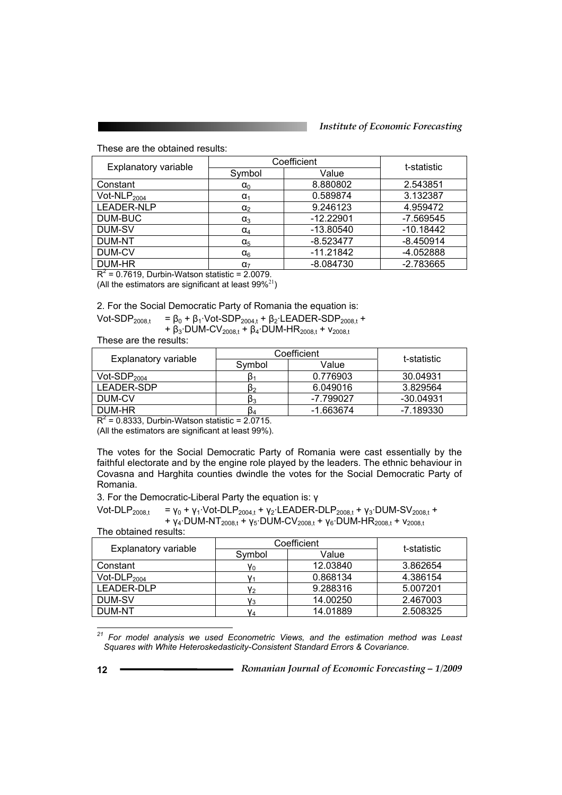#### *Institute of Economic Forecasting*

These are the obtained results:

|                      | Coefficient  |             | t-statistic |
|----------------------|--------------|-------------|-------------|
| Explanatory variable | Symbol       | Value       |             |
| Constant             | $\alpha_0$   | 8.880802    | 2.543851    |
| Vot-NL $P_{2004}$    | $\alpha_1$   | 0.589874    | 3.132387    |
| LEADER-NLP           | $\alpha_2$   | 9.246123    | 4.959472    |
| DUM-BUC              | $\alpha_3$   | $-12.22901$ | $-7.569545$ |
| DUM-SV               | $\alpha_4$   | $-13.80540$ | $-10.18442$ |
| <b>DUM-NT</b>        | $\alpha_{5}$ | $-8.523477$ | $-8.450914$ |
| DUM-CV               | $\alpha_6$   | $-11.21842$ | -4.052888   |
| DUM-HR               | $\alpha_{7}$ | $-8.084730$ | $-2.783665$ |

 $R^2$  = 0.7619, Durbin-Watson statistic = 2.0079.

(All the estimators are significant at least  $99\%^{21}$ )

2. For the Social Democratic Party of Romania the equation is:

Vot-SDP<sub>2008,t</sub> = β<sub>0</sub> + β<sub>1</sub>·Vot-SDP<sub>2004,t</sub> + β<sub>2</sub>·LEADER-SDP<sub>2008,t</sub> + + β<sub>3</sub>·DUM-CV<sub>2008,t</sub> + β<sub>4</sub>·DUM-HR<sub>2008,t</sub> + v<sub>2008,t</sub>

These are the results:

|                      | Coefficient |           | t-statistic |
|----------------------|-------------|-----------|-------------|
| Explanatory variable | Symbol      | Value     |             |
| $Vot-SDP2004$        |             | 0.776903  | 30.04931    |
| LEADER-SDP           | P2          | 6.049016  | 3.829564    |
| DUM-CV               | Pз          | -7.799027 | -30.04931   |
| DUM-HR               | D4          | -1.663674 | -7.189330   |

 $R^2$  = 0.8333, Durbin-Watson statistic = 2.0715.

(All the estimators are significant at least 99%).

The votes for the Social Democratic Party of Romania were cast essentially by the faithful electorate and by the engine role played by the leaders. The ethnic behaviour in Covasna and Harghita counties dwindle the votes for the Social Democratic Party of Romania.

3. For the Democratic-Liberal Party the equation is: γ

Vot-DLP<sub>2008,t</sub> =  $v_0 + v_1$ ·Vot-DLP<sub>2004,t</sub> +  $v_2$ ·LEADER-DLP<sub>2008,t</sub> +  $v_3$ ·DUM-SV<sub>2008,t</sub> + +  $γ_4$ ·DUM-NT<sub>2008,t</sub> +  $γ_5$ ·DUM-CV<sub>2008,t</sub> +  $γ_6$ ·DUM-HR<sub>2008,t</sub> +  $v_{2008,t}$ The obtained results:

| Explanatory variable | Coefficient |          | t-statistic |
|----------------------|-------------|----------|-------------|
|                      | Symbol      | Value    |             |
| Constant             | Y٥          | 12.03840 | 3.862654    |
| Vot-DL $P_{2004}$    |             | 0.868134 | 4.386154    |
| LEADER-DLP           | Y2          | 9.288316 | 5.007201    |
| DUM-SV               | Vз          | 14.00250 | 2.467003    |
| <b>DUM-NT</b>        | Y4          | 14.01889 | 2.508325    |

l *21 For model analysis we used Econometric Views, and the estimation method was Least Squares with White Heteroskedasticity-Consistent Standard Errors & Covariance.*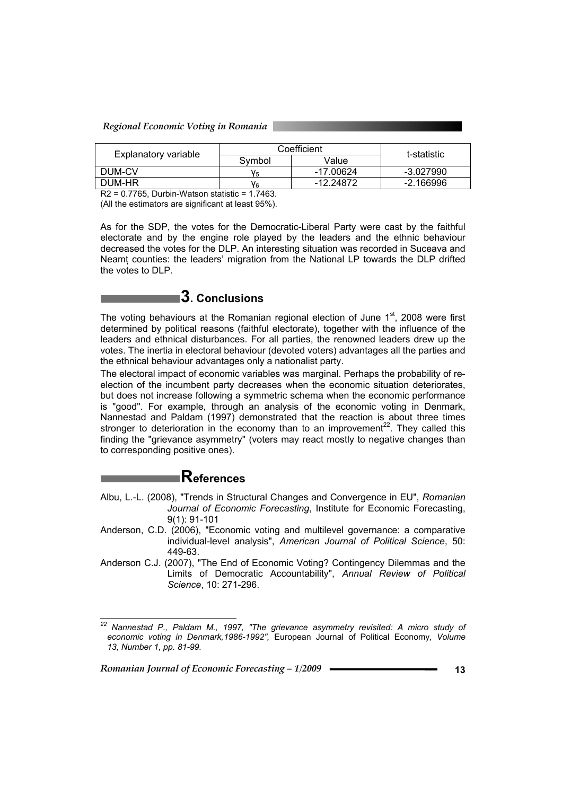#### *Regional Economic Voting in Romania*

|                                                                                     | Coefficient |           | t-statistic |  |
|-------------------------------------------------------------------------------------|-------------|-----------|-------------|--|
| Explanatory variable                                                                | Symbol      | Value     |             |  |
| DUM-CV                                                                              | V5          | -17.00624 | -3.027990   |  |
| DUM-HR                                                                              | V۹          | -12.24872 | -2.166996   |  |
| .<br>.<br>.<br>$\cdot$ $ \cdot$ $\sim$<br>$ -$<br>-----<br>$\overline{\phantom{a}}$ |             |           |             |  |

R2 = 0.7765, Durbin-Watson statistic = 1.7463. (All the estimators are significant at least 95%).

As for the SDP, the votes for the Democratic-Liberal Party were cast by the faithful electorate and by the engine role played by the leaders and the ethnic behaviour decreased the votes for the DLP. An interesting situation was recorded in Suceava and Neamt counties: the leaders' migration from the National LP towards the DLP drifted the votes to DLP.



The voting behaviours at the Romanian regional election of June  $1<sup>st</sup>$ , 2008 were first determined by political reasons (faithful electorate), together with the influence of the leaders and ethnical disturbances. For all parties, the renowned leaders drew up the votes. The inertia in electoral behaviour (devoted voters) advantages all the parties and the ethnical behaviour advantages only a nationalist party.

The electoral impact of economic variables was marginal. Perhaps the probability of reelection of the incumbent party decreases when the economic situation deteriorates, but does not increase following a symmetric schema when the economic performance is "good". For example, through an analysis of the economic voting in Denmark, Nannestad and Paldam (1997) demonstrated that the reaction is about three times stronger to deterioration in the economy than to an improvement<sup>22</sup>. They called this finding the "grievance asymmetry" (voters may react mostly to negative changes than to corresponding positive ones).

# **References**

Albu, L.-L. (2008), "Trends in Structural Changes and Convergence in EU", *Romanian Journal of Economic Forecasting*, Institute for Economic Forecasting, 9(1): 91-101

- Anderson, C.D. (2006), "Economic voting and multilevel governance: a comparative individual-level analysis", *American Journal of Political Science*, 50: 449-63.
- Anderson C.J. (2007), "The End of Economic Voting? Contingency Dilemmas and the Limits of Democratic Accountability", *Annual Review of Political Science*, 10: 271-296.

*Romanian Journal of Economic Forecasting – 1/2009* **13**

l

*<sup>22</sup> Nannestad P., Paldam M., 1997, "The grievance asymmetry revisited: A micro study of economic voting in Denmark,1986-1992",* European Journal of Political Economy*, Volume 13, Number 1, pp. 81-99.*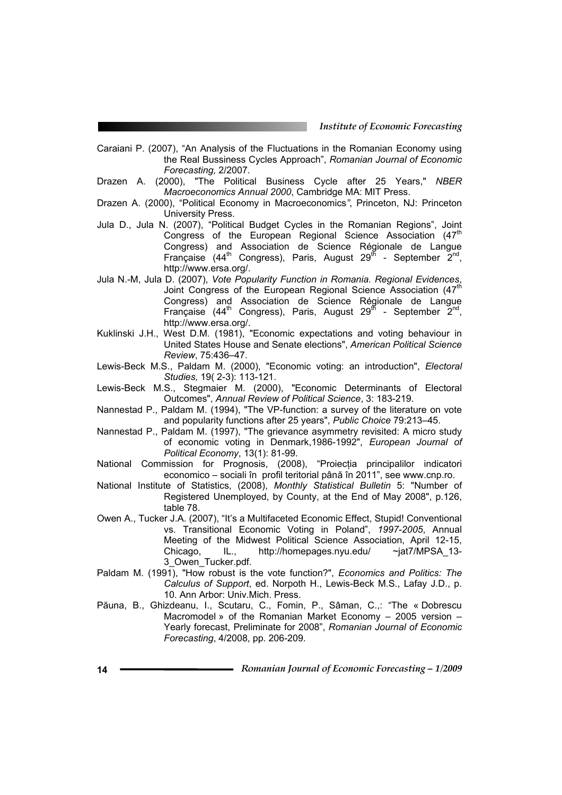Caraiani P. (2007), "An Analysis of the Fluctuations in the Romanian Economy using the Real Bussiness Cycles Approach", *Romanian Journal of Economic Forecasting,* 2/2007.

- Drazen A. (2000), "The Political Business Cycle after 25 Years," *NBER Macroeconomics Annual 2000*, Cambridge MA: MIT Press.
- Drazen A. (2000), "Political Economy in Macroeconomics*"*, Princeton, NJ: Princeton University Press.
- Jula D., Jula N. (2007), "Political Budget Cycles in the Romanian Regions", Joint Congress of the European Regional Science Association  $(47<sup>th</sup>$ Congress) and Association de Science Régionale de Langue Française (44<sup>th</sup> Congress), Paris, August 29<sup>th</sup> - September 2<sup>nd</sup>, http://www.ersa.org/.
- Jula N.-M, Jula D. (2007), *Vote Popularity Function in Romania. Regional Evidences*, Joint Congress of the European Regional Science Association (47<sup>th</sup> Congress) and Association de Science Régionale de Langue Française (44<sup>th</sup> Congress), Paris, August 29<sup>th</sup> - September  $2^{nd}$ , http://www.ersa.org/.
- Kuklinski J.H., West D.M. (1981), "Economic expectations and voting behaviour in United States House and Senate elections", *American Political Science Review*, 75:436–47.
- Lewis-Beck M.S., Paldam M. (2000), "Economic voting: an introduction", *Electoral Studies,* 19( 2-3): 113-121.
- Lewis-Beck M.S., Stegmaier M. (2000), "Economic Determinants of Electoral Outcomes", *Annual Review of Political Science*, 3: 183-219.
- Nannestad P., Paldam M. (1994), "The VP-function: a survey of the literature on vote and popularity functions after 25 years", *Public Choice* 79:213–45.
- Nannestad P., Paldam M. (1997), "The grievance asymmetry revisited: A micro study of economic voting in Denmark,1986-1992", *European Journal of Political Economy*, 13(1): 81-99.
- National Commission for Prognosis, (2008), "Proiectia principalilor indicatori economico – sociali în profil teritorial până în 2011", see www.cnp.ro.
- National Institute of Statistics, (2008), *Monthly Statistical Bulletin* 5: "Number of Registered Unemployed, by County, at the End of May 2008", p.126, table 78.
- Owen A., Tucker J.A. (2007), "It's a Multifaceted Economic Effect, Stupid! Conventional vs. Transitional Economic Voting in Poland", *1997-2005*, Annual Meeting of the Midwest Political Science Association, April 12-15, Chicago, IL., http://homepages.nyu.edu/ ~jat7/MPSA\_13- 3\_Owen\_Tucker.pdf.
- Paldam M. (1991), "How robust is the vote function?", *Economics and Politics: The Calculus of Support*, ed. Norpoth H., Lewis-Beck M.S., Lafay J.D., p. 10. Ann Arbor: Univ.Mich. Press.
- Păuna, B., Ghizdeanu, I., Scutaru, C., Fomin, P., Sâman, C.,: "The « Dobrescu Macromodel » of the Romanian Market Economy – 2005 version – Yearly forecast, Preliminate for 2008", *Romanian Journal of Economic Forecasting*, 4/2008, pp. 206-209.
- **14** *Romanian Journal of Economic Forecasting 1/2009*